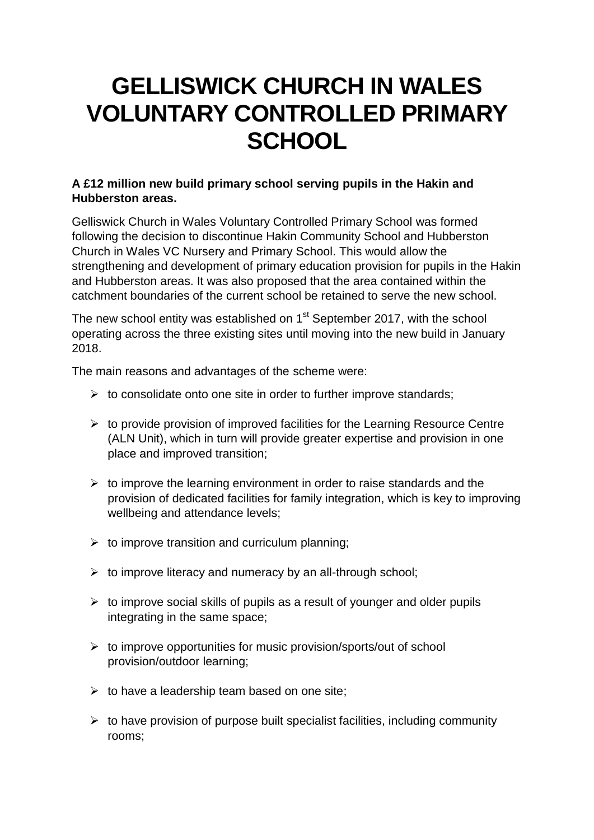## **GELLISWICK CHURCH IN WALES VOLUNTARY CONTROLLED PRIMARY SCHOOL**

## **A £12 million new build primary school serving pupils in the Hakin and Hubberston areas.**

Gelliswick Church in Wales Voluntary Controlled Primary School was formed following the decision to discontinue Hakin Community School and Hubberston Church in Wales VC Nursery and Primary School. This would allow the strengthening and development of primary education provision for pupils in the Hakin and Hubberston areas. It was also proposed that the area contained within the catchment boundaries of the current school be retained to serve the new school.

The new school entity was established on  $1<sup>st</sup>$  September 2017, with the school operating across the three existing sites until moving into the new build in January 2018.

The main reasons and advantages of the scheme were:

- $\triangleright$  to consolidate onto one site in order to further improve standards:
- $\triangleright$  to provide provision of improved facilities for the Learning Resource Centre (ALN Unit), which in turn will provide greater expertise and provision in one place and improved transition;
- $\triangleright$  to improve the learning environment in order to raise standards and the provision of dedicated facilities for family integration, which is key to improving wellbeing and attendance levels;
- $\triangleright$  to improve transition and curriculum planning;
- $\triangleright$  to improve literacy and numeracy by an all-through school;
- $\triangleright$  to improve social skills of pupils as a result of younger and older pupils integrating in the same space;
- $\triangleright$  to improve opportunities for music provision/sports/out of school provision/outdoor learning;
- $\triangleright$  to have a leadership team based on one site;
- $\triangleright$  to have provision of purpose built specialist facilities, including community rooms;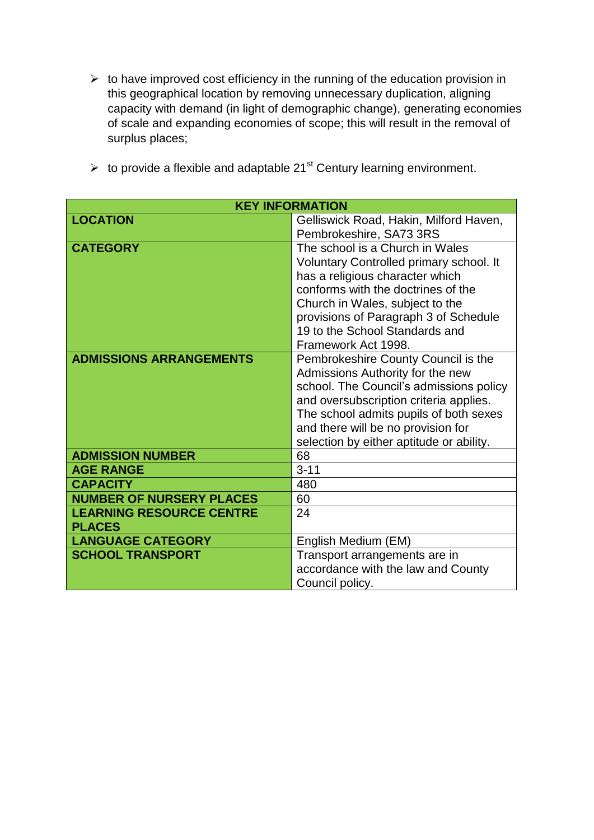$\triangleright$  to have improved cost efficiency in the running of the education provision in this geographical location by removing unnecessary duplication, aligning capacity with demand (in light of demographic change), generating economies of scale and expanding economies of scope; this will result in the removal of surplus places;

| <b>KEY INFORMATION</b>          |                                          |
|---------------------------------|------------------------------------------|
| <b>LOCATION</b>                 | Gelliswick Road, Hakin, Milford Haven,   |
|                                 | Pembrokeshire, SA73 3RS                  |
| <b>CATEGORY</b>                 | The school is a Church in Wales          |
|                                 | Voluntary Controlled primary school. It  |
|                                 | has a religious character which          |
|                                 | conforms with the doctrines of the       |
|                                 | Church in Wales, subject to the          |
|                                 | provisions of Paragraph 3 of Schedule    |
|                                 | 19 to the School Standards and           |
|                                 | Framework Act 1998.                      |
| <b>ADMISSIONS ARRANGEMENTS</b>  | Pembrokeshire County Council is the      |
|                                 | Admissions Authority for the new         |
|                                 | school. The Council's admissions policy  |
|                                 | and oversubscription criteria applies.   |
|                                 | The school admits pupils of both sexes   |
|                                 | and there will be no provision for       |
|                                 | selection by either aptitude or ability. |
| <b>ADMISSION NUMBER</b>         | 68                                       |
| <b>AGE RANGE</b>                | $3 - 11$                                 |
| <b>CAPACITY</b>                 | 480                                      |
| <b>NUMBER OF NURSERY PLACES</b> | 60                                       |
| <b>LEARNING RESOURCE CENTRE</b> | 24                                       |
| <b>PLACES</b>                   |                                          |
| <b>LANGUAGE CATEGORY</b>        | English Medium (EM)                      |
| <b>SCHOOL TRANSPORT</b>         | Transport arrangements are in            |
|                                 | accordance with the law and County       |
|                                 | Council policy.                          |

 $\triangleright$  to provide a flexible and adaptable 21<sup>st</sup> Century learning environment.